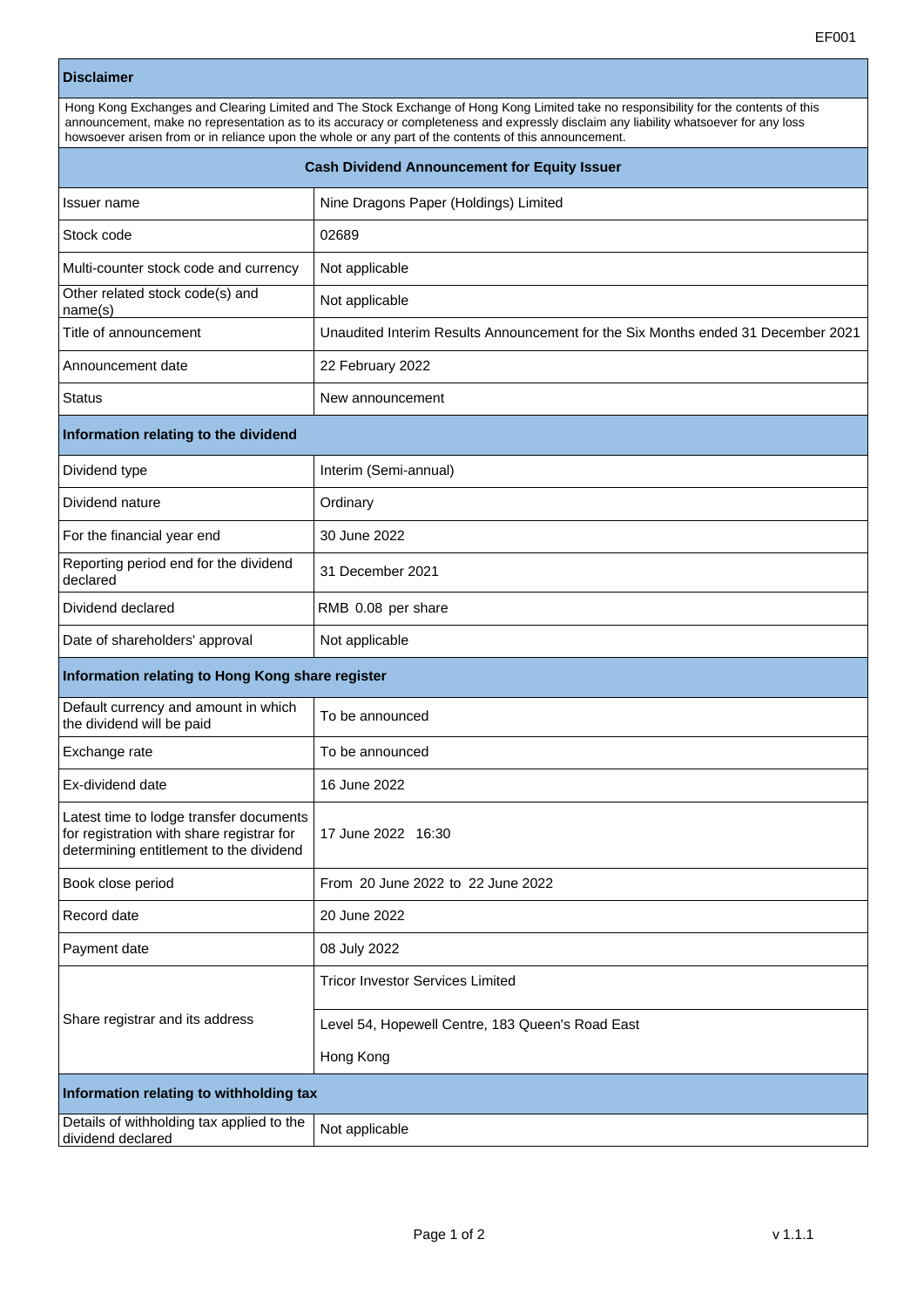## **Disclaimer**

|  | Hong Kong Exchanges and Clearing Limited and The Stock Exchange of Hong Kong Limited take no responsibility for the contents of this<br>announcement, make no representation as to its accuracy or completeness and expressly disclaim any liability whatsoever for any loss<br>howsoever arisen from or in reliance upon the whole or any part of the contents of this announcement.<br><b>Cash Dividend Announcement for Equity Issuer</b> |                                       |
|--|----------------------------------------------------------------------------------------------------------------------------------------------------------------------------------------------------------------------------------------------------------------------------------------------------------------------------------------------------------------------------------------------------------------------------------------------|---------------------------------------|
|  |                                                                                                                                                                                                                                                                                                                                                                                                                                              |                                       |
|  | <b>Issuer name</b>                                                                                                                                                                                                                                                                                                                                                                                                                           | Nine Dragons Paper (Holdings) Limited |

| Stock code                                                                                                                      | 02689                                                                            |  |
|---------------------------------------------------------------------------------------------------------------------------------|----------------------------------------------------------------------------------|--|
| Multi-counter stock code and currency                                                                                           | Not applicable                                                                   |  |
| Other related stock code(s) and<br>name(s)                                                                                      | Not applicable                                                                   |  |
| Title of announcement                                                                                                           | Unaudited Interim Results Announcement for the Six Months ended 31 December 2021 |  |
| Announcement date                                                                                                               | 22 February 2022                                                                 |  |
| Status                                                                                                                          | New announcement                                                                 |  |
| Information relating to the dividend                                                                                            |                                                                                  |  |
| Dividend type                                                                                                                   | Interim (Semi-annual)                                                            |  |
| Dividend nature                                                                                                                 | Ordinary                                                                         |  |
| For the financial year end                                                                                                      | 30 June 2022                                                                     |  |
| Reporting period end for the dividend<br>declared                                                                               | 31 December 2021                                                                 |  |
| Dividend declared                                                                                                               | RMB 0.08 per share                                                               |  |
| Date of shareholders' approval                                                                                                  | Not applicable                                                                   |  |
| Information relating to Hong Kong share register                                                                                |                                                                                  |  |
| Default currency and amount in which<br>the dividend will be paid                                                               | To be announced                                                                  |  |
| Exchange rate                                                                                                                   | To be announced                                                                  |  |
| Ex-dividend date                                                                                                                | 16 June 2022                                                                     |  |
| Latest time to lodge transfer documents<br>for registration with share registrar for<br>determining entitlement to the dividend | 17 June 2022 16:30                                                               |  |
| Book close period                                                                                                               | From 20 June 2022 to 22 June 2022                                                |  |
| Record date                                                                                                                     | 20 June 2022                                                                     |  |
| Payment date                                                                                                                    | 08 July 2022                                                                     |  |
|                                                                                                                                 | <b>Tricor Investor Services Limited</b>                                          |  |
| Share registrar and its address                                                                                                 | Level 54, Hopewell Centre, 183 Queen's Road East                                 |  |
|                                                                                                                                 | Hong Kong                                                                        |  |
| Information relating to withholding tax                                                                                         |                                                                                  |  |
| Details of withholding tax applied to the<br>dividend declared                                                                  | Not applicable                                                                   |  |